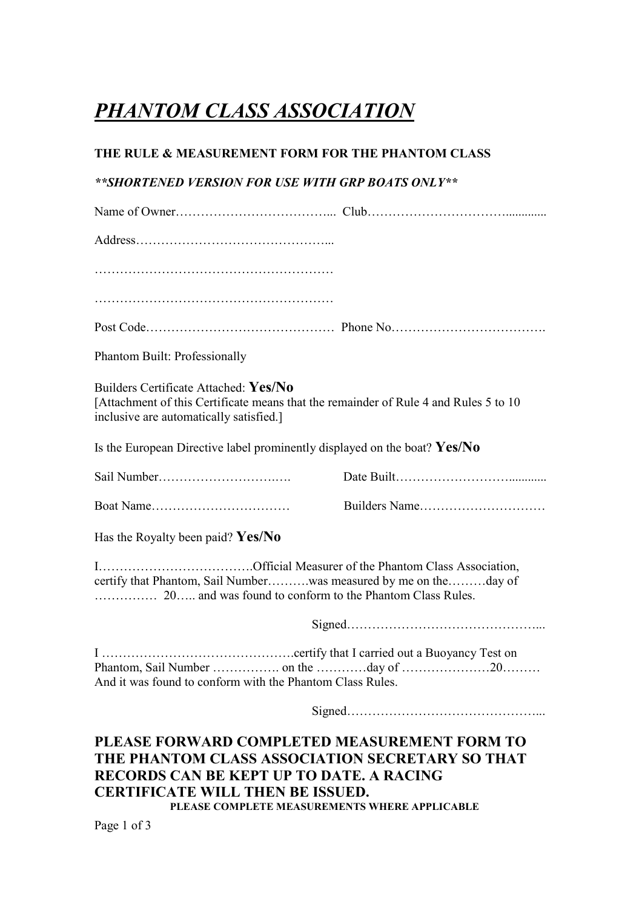## *PHANTOM CLASS ASSOCIATION*

## **THE RULE & MEASUREMENT FORM FOR THE PHANTOM CLASS**

## *\*\*SHORTENED VERSION FOR USE WITH GRP BOATS ONLY\*\**

| Phantom Built: Professionally                                                                                                                                                                                                                  |  |  |
|------------------------------------------------------------------------------------------------------------------------------------------------------------------------------------------------------------------------------------------------|--|--|
| Builders Certificate Attached: Yes/No<br>[Attachment of this Certificate means that the remainder of Rule 4 and Rules 5 to 10<br>inclusive are automatically satisfied.]                                                                       |  |  |
| Is the European Directive label prominently displayed on the boat? $Yes/No$                                                                                                                                                                    |  |  |
|                                                                                                                                                                                                                                                |  |  |
|                                                                                                                                                                                                                                                |  |  |
| Has the Royalty been paid? $Yes/No$                                                                                                                                                                                                            |  |  |
| certify that Phantom, Sail Numberwas measured by me on theday of                                                                                                                                                                               |  |  |
|                                                                                                                                                                                                                                                |  |  |
| And it was found to conform with the Phantom Class Rules.                                                                                                                                                                                      |  |  |
|                                                                                                                                                                                                                                                |  |  |
| PLEASE FORWARD COMPLETED MEASUREMENT FORM TO<br>THE PHANTOM CLASS ASSOCIATION SECRETARY SO THAT<br><b>RECORDS CAN BE KEPT UP TO DATE. A RACING</b><br><b>CERTIFICATE WILL THEN BE ISSUED.</b><br>PLEASE COMPLETE MEASUREMENTS WHERE APPLICABLE |  |  |

Page 1 of 3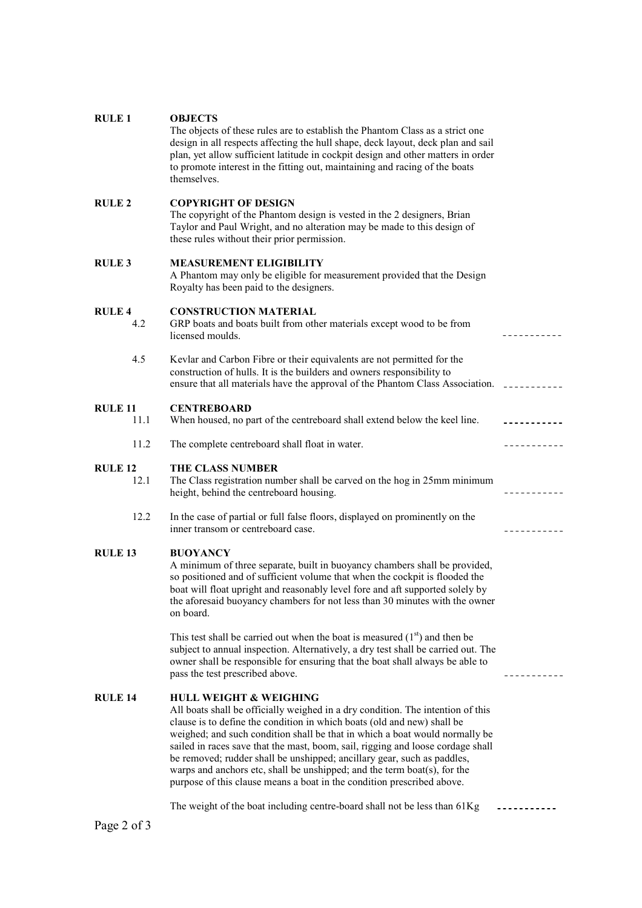| <b>RULE 1</b>          | <b>OBJECTS</b><br>The objects of these rules are to establish the Phantom Class as a strict one<br>design in all respects affecting the hull shape, deck layout, deck plan and sail<br>plan, yet allow sufficient latitude in cockpit design and other matters in order<br>to promote interest in the fitting out, maintaining and racing of the boats<br>themselves.                                                                                                                                                                                                                              |                             |
|------------------------|----------------------------------------------------------------------------------------------------------------------------------------------------------------------------------------------------------------------------------------------------------------------------------------------------------------------------------------------------------------------------------------------------------------------------------------------------------------------------------------------------------------------------------------------------------------------------------------------------|-----------------------------|
| <b>RULE 2</b>          | <b>COPYRIGHT OF DESIGN</b><br>The copyright of the Phantom design is vested in the 2 designers, Brian<br>Taylor and Paul Wright, and no alteration may be made to this design of<br>these rules without their prior permission.                                                                                                                                                                                                                                                                                                                                                                    |                             |
| <b>RULE 3</b>          | <b>MEASUREMENT ELIGIBILITY</b><br>A Phantom may only be eligible for measurement provided that the Design<br>Royalty has been paid to the designers.                                                                                                                                                                                                                                                                                                                                                                                                                                               |                             |
| <b>RULE 4</b><br>4.2   | <b>CONSTRUCTION MATERIAL</b><br>GRP boats and boats built from other materials except wood to be from<br>licensed moulds.                                                                                                                                                                                                                                                                                                                                                                                                                                                                          |                             |
| 4.5                    | Kevlar and Carbon Fibre or their equivalents are not permitted for the<br>construction of hulls. It is the builders and owners responsibility to<br>ensure that all materials have the approval of the Phantom Class Association. ______________________                                                                                                                                                                                                                                                                                                                                           |                             |
| <b>RULE 11</b><br>11.1 | <b>CENTREBOARD</b><br>When housed, no part of the centreboard shall extend below the keel line.                                                                                                                                                                                                                                                                                                                                                                                                                                                                                                    | <u> - - - - - - - - - -</u> |
| 11.2                   | The complete centreboard shall float in water.                                                                                                                                                                                                                                                                                                                                                                                                                                                                                                                                                     | -----------                 |
| <b>RULE 12</b><br>12.1 | <b>THE CLASS NUMBER</b><br>The Class registration number shall be carved on the hog in 25mm minimum<br>height, behind the centreboard housing.                                                                                                                                                                                                                                                                                                                                                                                                                                                     |                             |
| 12.2                   | In the case of partial or full false floors, displayed on prominently on the<br>inner transom or centreboard case.                                                                                                                                                                                                                                                                                                                                                                                                                                                                                 |                             |
| <b>RULE 13</b>         | <b>BUOYANCY</b><br>A minimum of three separate, built in buoyancy chambers shall be provided,<br>so positioned and of sufficient volume that when the cockpit is flooded the<br>boat will float upright and reasonably level fore and aft supported solely by<br>the aforesaid buoyancy chambers for not less than 30 minutes with the owner<br>on board.                                                                                                                                                                                                                                          |                             |
|                        | This test shall be carried out when the boat is measured $(1st)$ and then be<br>subject to annual inspection. Alternatively, a dry test shall be carried out. The<br>owner shall be responsible for ensuring that the boat shall always be able to<br>pass the test prescribed above.                                                                                                                                                                                                                                                                                                              |                             |
| <b>RULE 14</b>         | <b>HULL WEIGHT &amp; WEIGHING</b><br>All boats shall be officially weighed in a dry condition. The intention of this<br>clause is to define the condition in which boats (old and new) shall be<br>weighed; and such condition shall be that in which a boat would normally be<br>sailed in races save that the mast, boom, sail, rigging and loose cordage shall<br>be removed; rudder shall be unshipped; ancillary gear, such as paddles,<br>warps and anchors etc, shall be unshipped; and the term boat(s), for the<br>purpose of this clause means a boat in the condition prescribed above. |                             |
|                        | The weight of the boat including centre-board shall not be less than 61Kg                                                                                                                                                                                                                                                                                                                                                                                                                                                                                                                          |                             |